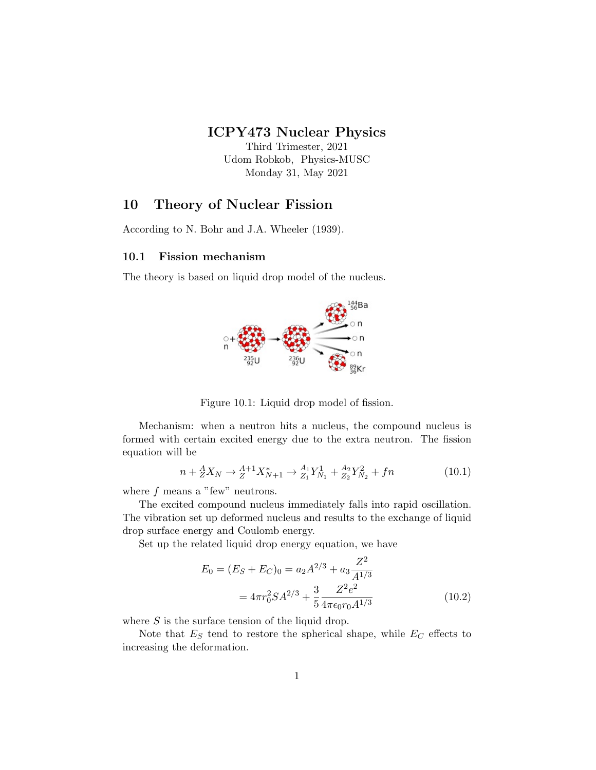## ICPY473 Nuclear Physics

Third Trimester, 2021 Udom Robkob, Physics-MUSC Monday 31, May 2021

### 10 Theory of Nuclear Fission

According to N. Bohr and J.A. Wheeler (1939).

### 10.1 Fission mechanism

The theory is based on liquid drop model of the nucleus.



Figure 10.1: Liquid drop model of fission.

Mechanism: when a neutron hits a nucleus, the compound nucleus is formed with certain excited energy due to the extra neutron. The fission equation will be

$$
n + {}_{Z}^{A}X_{N} \rightarrow {}_{Z}^{A+1}X_{N+1}^{*} \rightarrow {}_{Z_{1}}^{A_{1}}Y_{N_{1}}^{1} + {}_{Z_{2}}^{A_{2}}Y_{N_{2}}^{2} + f n \tag{10.1}
$$

where  $f$  means a "few" neutrons.

The excited compound nucleus immediately falls into rapid oscillation. The vibration set up deformed nucleus and results to the exchange of liquid drop surface energy and Coulomb energy.

Set up the related liquid drop energy equation, we have

$$
E_0 = (E_S + E_C)_0 = a_2 A^{2/3} + a_3 \frac{Z^2}{A^{1/3}}
$$
  
=  $4\pi r_0^2 SA^{2/3} + \frac{3}{5} \frac{Z^2 e^2}{4\pi \epsilon_0 r_0 A^{1/3}}$  (10.2)

where  $S$  is the surface tension of the liquid drop.

Note that  $E<sub>S</sub>$  tend to restore the spherical shape, while  $E<sub>C</sub>$  effects to increasing the deformation.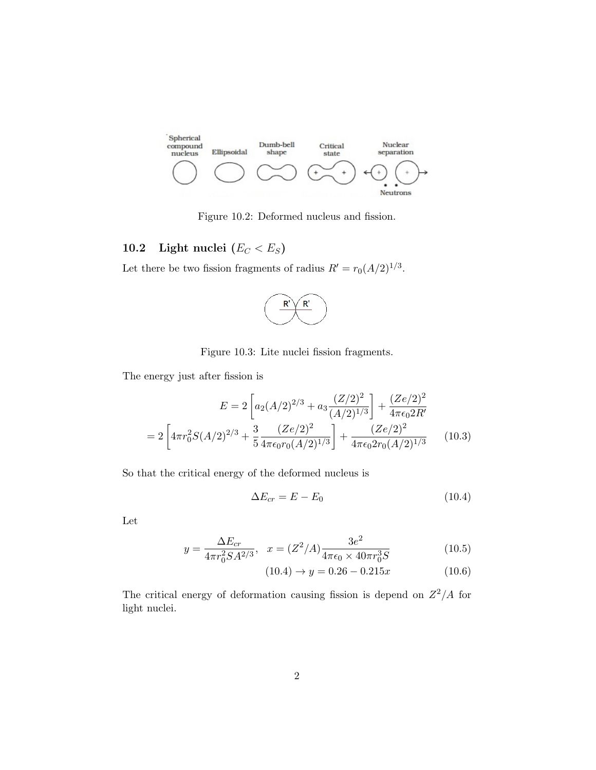

Figure 10.2: Deformed nucleus and fission.

# 10.2 Light nuclei  $(E_C < E_S)$

Let there be two fission fragments of radius  $R' = r_0(A/2)^{1/3}$ .



Figure 10.3: Lite nuclei fission fragments.

The energy just after fission is

$$
E = 2\left[a_2(A/2)^{2/3} + a_3\frac{(Z/2)^2}{(A/2)^{1/3}}\right] + \frac{(Ze/2)^2}{4\pi\epsilon_0 2R'}
$$

$$
= 2\left[4\pi r_0^2 S(A/2)^{2/3} + \frac{3}{5} \frac{(Ze/2)^2}{4\pi\epsilon_0 r_0 (A/2)^{1/3}}\right] + \frac{(Ze/2)^2}{4\pi\epsilon_0 2r_0 (A/2)^{1/3}}\tag{10.3}
$$

So that the critical energy of the deformed nucleus is

$$
\Delta E_{cr} = E - E_0 \tag{10.4}
$$

Let

$$
y = \frac{\Delta E_{cr}}{4\pi r_0^2 SA^{2/3}}, \quad x = (Z^2/A)\frac{3e^2}{4\pi\epsilon_0 \times 40\pi r_0^3 S} \tag{10.5}
$$

$$
(10.4) \rightarrow y = 0.26 - 0.215x \tag{10.6}
$$

The critical energy of deformation causing fission is depend on  $Z^2/A$  for light nuclei.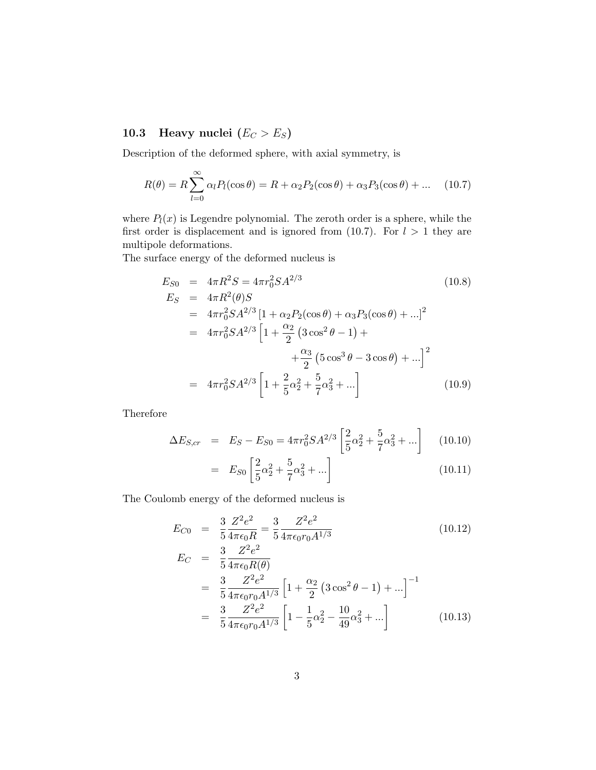## 10.3 Heavy nuclei  $(E_C > E_S)$

Description of the deformed sphere, with axial symmetry, is

$$
R(\theta) = R \sum_{l=0}^{\infty} \alpha_l P_l(\cos \theta) = R + \alpha_2 P_2(\cos \theta) + \alpha_3 P_3(\cos \theta) + \dots \quad (10.7)
$$

where  $P_l(x)$  is Legendre polynomial. The zeroth order is a sphere, while the first order is displacement and is ignored from (10.7). For  $l > 1$  they are multipole deformations.

The surface energy of the deformed nucleus is

$$
E_{S0} = 4\pi R^2 S = 4\pi r_0^2 SA^{2/3}
$$
\n
$$
E_S = 4\pi R^2(\theta)S
$$
\n
$$
= 4\pi r_0^2 SA^{2/3} [1 + \alpha_2 P_2(\cos \theta) + \alpha_3 P_3(\cos \theta) + ...]^2
$$
\n
$$
= 4\pi r_0^2 SA^{2/3} [1 + \frac{\alpha_2}{2} (3 \cos^2 \theta - 1) + \frac{\alpha_3}{2} (5 \cos^3 \theta - 3 \cos \theta) + ...]^2
$$
\n
$$
= 4\pi r_0^2 SA^{2/3} [1 + \frac{2}{5}\alpha_2^2 + \frac{5}{7}\alpha_3^2 + ...]
$$
\n(10.9)

Therefore

$$
\Delta E_{S,cr} = E_S - E_{S0} = 4\pi r_0^2 S A^{2/3} \left[ \frac{2}{5} \alpha_2^2 + \frac{5}{7} \alpha_3^2 + \dots \right] \tag{10.10}
$$

$$
= E_{S0} \left[ \frac{2}{5} \alpha_2^2 + \frac{5}{7} \alpha_3^2 + \dots \right]
$$
 (10.11)

The Coulomb energy of the deformed nucleus is

$$
E_{C0} = \frac{3}{5} \frac{Z^2 e^2}{4\pi \epsilon_0 R} = \frac{3}{5} \frac{Z^2 e^2}{4\pi \epsilon_0 r_0 A^{1/3}}
$$
\n
$$
E_C = \frac{3}{5} \frac{Z^2 e^2}{4\pi \epsilon_0 R(\theta)}
$$
\n(10.12)

$$
= \frac{3}{5} \frac{Z^2 e^2}{4\pi \epsilon_0 r_0 A^{1/3}} \left[ 1 + \frac{\alpha_2}{2} \left( 3 \cos^2 \theta - 1 \right) + \ldots \right]^{-1}
$$

$$
= \frac{3}{5} \frac{Z^2 e^2}{4\pi \epsilon_0 r_0 A^{1/3}} \left[ 1 - \frac{1}{5} \alpha_2^2 - \frac{10}{49} \alpha_3^2 + \ldots \right]
$$
(10.13)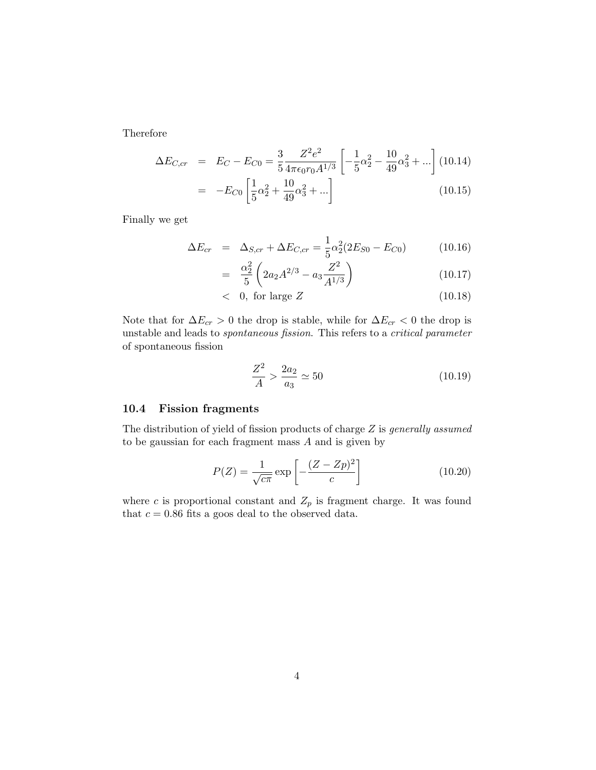Therefore

$$
\Delta E_{C,cr} = E_C - E_{C0} = \frac{3}{5} \frac{Z^2 e^2}{4\pi \epsilon_0 r_0 A^{1/3}} \left[ -\frac{1}{5} \alpha_2^2 - \frac{10}{49} \alpha_3^2 + \ldots \right] (10.14)
$$

$$
= -E_{C0} \left[ \frac{1}{5} \alpha_2^2 + \frac{10}{49} \alpha_3^2 + \ldots \right] \tag{10.15}
$$

Finally we get

$$
\Delta E_{cr} = \Delta_{S,cr} + \Delta E_{C,cr} = \frac{1}{5} \alpha_2^2 (2E_{S0} - E_{C0}) \tag{10.16}
$$

$$
= \frac{\alpha_2^2}{5} \left( 2a_2 A^{2/3} - a_3 \frac{Z^2}{A^{1/3}} \right) \tag{10.17}
$$

$$
< 0, \text{ for large } Z \tag{10.18}
$$

Note that for  $\Delta E_{cr} > 0$  the drop is stable, while for  $\Delta E_{cr} < 0$  the drop is unstable and leads to spontaneous fission. This refers to a critical parameter of spontaneous fission

$$
\frac{Z^2}{A} > \frac{2a_2}{a_3} \simeq 50\tag{10.19}
$$

### 10.4 Fission fragments

The distribution of yield of fission products of charge  $Z$  is *generally assumed* to be gaussian for each fragment mass  $A$  and is given by

$$
P(Z) = \frac{1}{\sqrt{c\pi}} \exp\left[-\frac{(Z - Zp)^2}{c}\right]
$$
 (10.20)

where c is proportional constant and  $Z_p$  is fragment charge. It was found that  $c = 0.86$  fits a goos deal to the observed data.